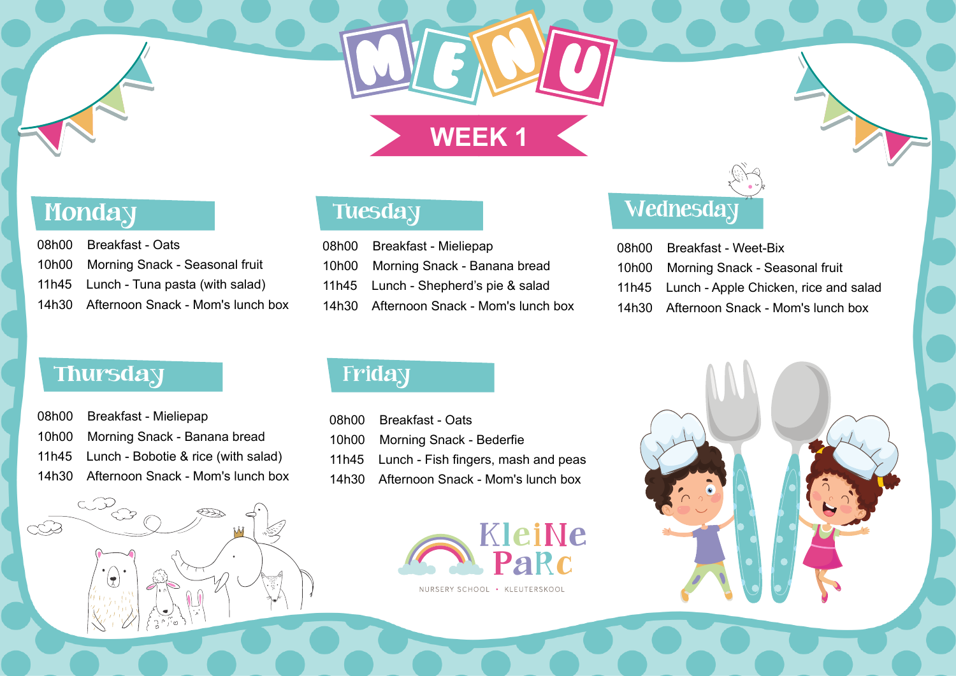| 08h00 Breakfast - Oats                  |
|-----------------------------------------|
| 10h00 Morning Snack - Seasonal fruit    |
| 11h45 Lunch - Tuna pasta (with salad)   |
| 14h30 Afternoon Snack - Mom's lunch box |

### **Tuesday**

| 08h00 Breakfast - Mieliepap               |
|-------------------------------------------|
| 10h00 Morning Snack - Banana bread        |
| 11h45 Lunch - Bobotie & rice (with salad) |
| 14h30 Afternoon Snack - Mom's lunch box   |

| 08h00 Breakfast - Mieliepap             |
|-----------------------------------------|
| 10h00 Morning Snack - Banana bread      |
| 11h45 Lunch - Shepherd's pie & salad    |
| 14h30 Afternoon Snack - Mom's lunch box |

### **Wednesday**

| 08h00 | Breakfast |
|-------|-----------|
| 10h00 | Morning S |
| 11h45 | Lunch - A |
| 14h30 | Afternoon |

### **Thursday**

LOCO

 $(\vec{x})$ 

 $\bigcirc \bigcirc \bigcirc$ 

| 08h00 Breakfast - Oats                    |
|-------------------------------------------|
| 10h00 Morning Snack - Bederfie            |
| 11h45 Lunch - Fish fingers, mash and peas |
| 14h30 Afternoon Snack - Mom's lunch box   |

### Friday

# **WEEK 1**

## **Monday**





**d** - Weet-Bix Snack - Seasonal fruit pple Chicken, rice and salad Snack - Mom's lunch box